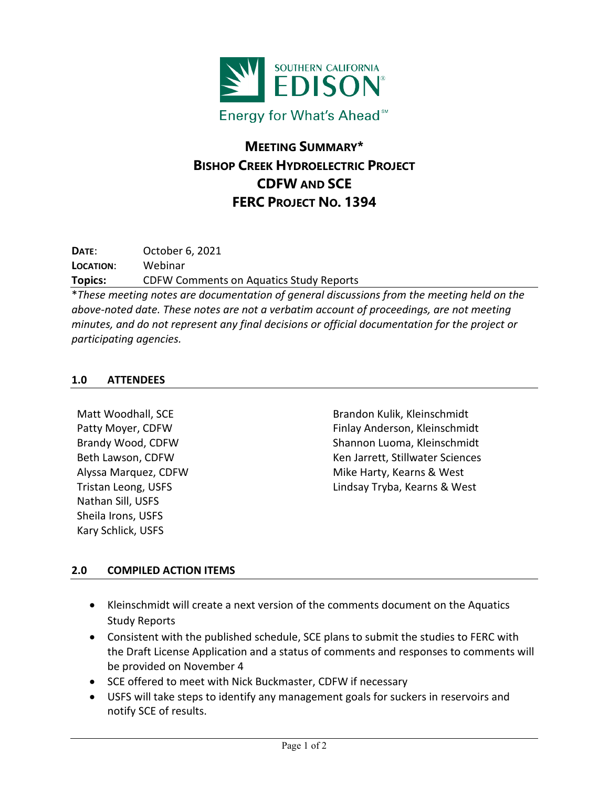

## **MEETING SUMMARY\* BISHOP CREEK HYDROELECTRIC PROJECT CDFW AND SCE FERC PROJECT NO. 1394**

**DATE**: October 6, 2021 **LOCATION**: Webinar **Topics:** CDFW Comments on Aquatics Study Reports

\**These meeting notes are documentation of general discussions from the meeting held on the above-noted date. These notes are not a verbatim account of proceedings, are not meeting minutes, and do not represent any final decisions or official documentation for the project or participating agencies.*

## **1.0 ATTENDEES**

Matt Woodhall, SCE Patty Moyer, CDFW Brandy Wood, CDFW Beth Lawson, CDFW Alyssa Marquez, CDFW Tristan Leong, USFS Nathan Sill, USFS Sheila Irons, USFS Kary Schlick, USFS

Brandon Kulik, Kleinschmidt Finlay Anderson, Kleinschmidt Shannon Luoma, Kleinschmidt Ken Jarrett, Stillwater Sciences Mike Harty, Kearns & West Lindsay Tryba, Kearns & West

## **2.0 COMPILED ACTION ITEMS**

- Kleinschmidt will create a next version of the comments document on the Aquatics Study Reports
- Consistent with the published schedule, SCE plans to submit the studies to FERC with the Draft License Application and a status of comments and responses to comments will be provided on November 4
- SCE offered to meet with Nick Buckmaster, CDFW if necessary
- USFS will take steps to identify any management goals for suckers in reservoirs and notify SCE of results.